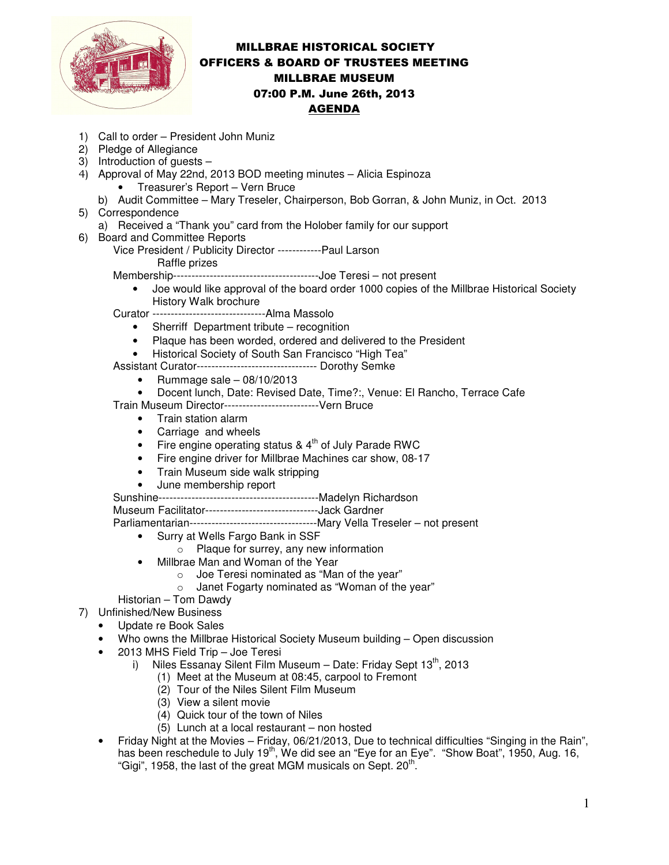

## MILLBRAE HISTORICAL SOCIETY OFFICERS & BOARD OF TRUSTEES MEETING MILLBRAE MUSEUM 07:00 P.M. June 26th, 2013 AGENDA

- 1) Call to order President John Muniz
- 2) Pledge of Allegiance
- 3) Introduction of guests –
- 4) Approval of May 22nd, 2013 BOD meeting minutes Alicia Espinoza
	- Treasurer's Report Vern Bruce
	- b) Audit Committee Mary Treseler, Chairperson, Bob Gorran, & John Muniz, in Oct. 2013
- 5) Correspondence
	- a) Received a "Thank you" card from the Holober family for our support
- 6) Board and Committee Reports
	- Vice President / Publicity Director ------------Paul Larson
		- Raffle prizes

Membership----------------------------------------Joe Teresi – not present

• Joe would like approval of the board order 1000 copies of the Millbrae Historical Society History Walk brochure

Curator -------------------------------Alma Massolo

- Sherriff Department tribute recognition
- Plaque has been worded, ordered and delivered to the President
- Historical Society of South San Francisco "High Tea"

Assistant Curator--------------------------------- Dorothy Semke

- Rummage sale 08/10/2013
- Docent lunch, Date: Revised Date, Time?:, Venue: El Rancho, Terrace Cafe

Train Museum Director--------------------------Vern Bruce

- Train station alarm
- Carriage and wheels
- Fire engine operating status &  $4<sup>th</sup>$  of July Parade RWC
- Fire engine driver for Millbrae Machines car show, 08-17
- Train Museum side walk stripping
- June membership report

Sunshine--------------------------------------------Madelyn Richardson

Museum Facilitator-------------------------------Jack Gardner

Parliamentarian-----------------------------------Mary Vella Treseler – not present

- Surry at Wells Fargo Bank in SSF
	- o Plaque for surrey, any new information
- Millbrae Man and Woman of the Year
	- o Joe Teresi nominated as "Man of the year"
	- o Janet Fogarty nominated as "Woman of the year"
- Historian Tom Dawdy
- 7) Unfinished/New Business
	- Update re Book Sales
	- Who owns the Millbrae Historical Society Museum building Open discussion
	- 2013 MHS Field Trip Joe Teresi
		- i) Niles Essanay Silent Film Museum Date: Friday Sept  $13<sup>th</sup>$ , 2013
			- (1) Meet at the Museum at 08:45, carpool to Fremont
				- (2) Tour of the Niles Silent Film Museum
				- (3) View a silent movie
				- (4) Quick tour of the town of Niles
				- (5) Lunch at a local restaurant non hosted
	- Friday Night at the Movies Friday, 06/21/2013, Due to technical difficulties "Singing in the Rain", has been reschedule to July 19<sup>th</sup>, We did see an "Eye for an Eye". "Show Boat", 1950, Aug. 16, "Gigi", 1958, the last of the great MGM musicals on Sept. 20<sup>th.</sup>